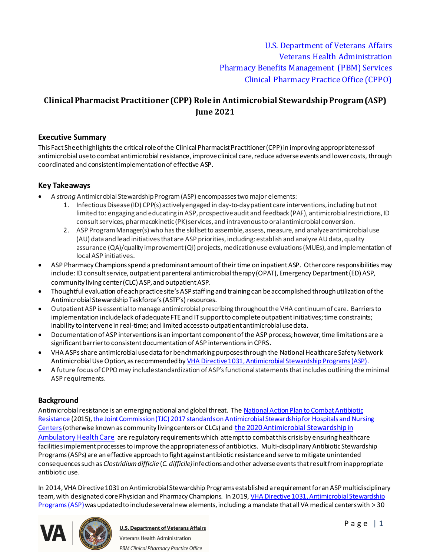# **Clinical Pharmacist Practitioner (CPP) Role in Antimicrobial Stewardship Program (ASP) June 2021**

## **Executive Summary**

This Fact Sheet highlights the critical role of the Clinical Pharmacist Practitioner (CPP)in improving appropriateness of antimicrobial use to combat antimicrobial resistance, improve clinical care, reduce adverse events and lower costs, through coordinated and consistent implementation of effective ASP.

# **Key Takeaways**

- · A *strong* Antimicrobial Stewardship Program (ASP) encompasses two major elements:
	- 1. Infectious Disease (ID) CPP(s) actively engaged in day-to-day patient care interventions, including but not limited to: engaging and educating in ASP, prospective audit and feedback (PAF), antimicrobial restrictions, ID consult services, pharmacokinetic (PK) services, and intravenous to oral antimicrobial conversion.
	- 2. ASP Program Manager(s) who has the skillset to assemble, assess, measure, and analyze antimicrobial use (AU) data and lead initiatives that are ASP priorities, including: establish and analyze AU data, quality assurance (QA)/quality improvement (QI) projects, medication use evaluations (MUEs), and implementation of local ASP initiatives.
- ASP Pharmacy Champions spend a predominant amount of their time on inpatient ASP. Other core responsibilities may include: ID consult service, outpatient parenteral antimicrobial therapy (OPAT), Emergency Department (ED) ASP, community living center (CLC) ASP, and outpatient ASP.
- · Thoughtful evaluation of each practice site's ASP staffing and training can be accomplished through utilization of the Antimicrobial Stewardship Taskforce's (ASTF's) resources.
- · Outpatient ASP is essential to manage antimicrobial prescribing throughout the VHA continuum of care. Barriers to implementation include lack of adequate FTE and IT support to complete outpatient initiatives; time constraints; inability to intervene in real-time; and limited access to outpatient antimicrobial use data.
- Documentation of ASP interventions is an important component of the ASP process; however, time limitations are a significant barrier to consistent documentation of ASP interventions in CPRS.
- · VHA ASPs share antimicrobial use data for benchmarking purposes through the National Healthcare Safety Network Antimicrobial Use Option, as recommended by [VHA Directive 1031, Antimicrobial Stewardship Programs \(ASP\)](https://vaww.va.gov/vhapublications/ViewPublication.asp?pub_ID=8195).
- · A future focus of CPPO may include standardization of ASP's functional statements that includes outlining the minimal ASP requirements.

# **Background**

Antimicrobial resistance is an emerging national and global threat. The [National Action Plan to Combat Antibiotic](https://www.cdc.gov/drugresistance/us-activities/national-action-plan.html)  [Resistance](https://www.cdc.gov/drugresistance/us-activities/national-action-plan.html) (2015), the Joint Commission (TJC) 2017 standards on Antimicrobial Stewardship for Hospitals and Nursing [Centers](https://www.jointcommission.org/assets/1/6/New_Antimicrobial_Stewardship_Standard.pdf)(otherwise known as community living centers or CLCs) and [the 2020 Antimicrobial Stewardship in](https://www.jointcommission.org/-/media/tjc/documents/standards/r3-reports/r3_23_antimicrobial_stewardship_amb_6_14_19_final2.pdf)  [Ambulatory Health Care](https://www.jointcommission.org/-/media/tjc/documents/standards/r3-reports/r3_23_antimicrobial_stewardship_amb_6_14_19_final2.pdf) are regulatory requirements which attempt to combat this crisis by ensuring healthcare facilities implement processes to improve the appropriateness of antibiotics. Multi-disciplinary Antibiotic Stewardship Programs (ASPs) are an effective approach to fight against antibiotic resistance and serve to mitigate unintended consequences such as *Clostridium difficile* (*C. difficile)* infections and other adverse events that result from inappropriate antibiotic use.

In 2014, VHA Directive 1031 on Antimicrobial Stewardship Programs established a requirement for an ASP multidisciplinary team, with designated core Physician and Pharmacy Champions. In 2019, [VHA Directive 1031, Antimicrobial Stewardship](https://vaww.va.gov/vhapublications/ViewPublication.asp?pub_ID=8195)  [Programs \(ASP\)](https://vaww.va.gov/vhapublications/ViewPublication.asp?pub_ID=8195) was updated to include several new elements, including: a mandate that all VA medical centers with  $\geq$  30



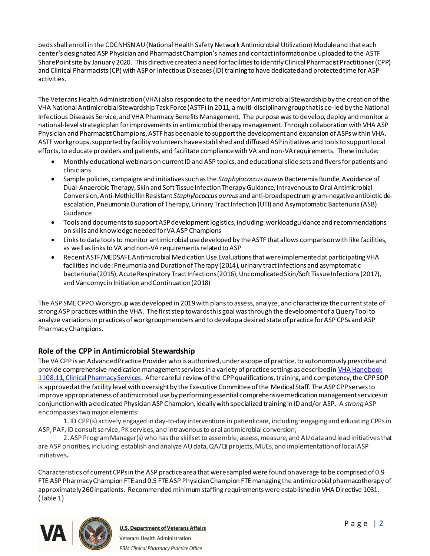beds shall enroll in the CDC NHSN AU (National Health Safety Network Antimicrobial Utilization) Module and that each center's designated ASP Physician and Pharmacist Champion's names and contact information be uploaded to the ASTF SharePoint site by January 2020. This directive created a need for facilities to identify Clinical Pharmacist Practitioner (CPP) and Clinical Pharmacists (CP) with ASP or Infectious Diseases (ID) training to have dedicated and protected time for ASP activities.

The Veterans Health Administration (VHA) also responded to the need for Antimicrobial Stewardship by the creation of the VHA National Antimicrobial Stewardship Task Force (ASTF) in 2011, a multi-disciplinary group that is co-led by the National Infectious Diseases Service, and VHA Pharmacy Benefits Management. The purpose was to develop, deploy and monitor a national-level strategic plan for improvements in antimicrobial therapy management. Through collaboration with VHA ASP Physician and Pharmacist Champions, ASTF has been able to support the development and expansion of ASPs within VHA. ASTF workgroups, supported by facility volunteers have established and diffused ASP initiatives and tools to support local efforts, to educate providers and patients, and facilitate compliance with VA and non-VA requirements. These include:

- · Monthly educational webinars on current ID and ASP topics, and educational slide sets and flyers for patients and clinicians
- · Sample policies, campaigns and initiatives such as the *Staphylococcus aureus* Bacteremia Bundle, Avoidance of Dual-Anaerobic Therapy, Skin and Soft Tissue Infection Therapy Guidance, Intravenous to Oral Antimicrobial Conversion, Anti-Methicillin Resistant *Staphylococcus aureus* and anti-broad spectrum gram-negativeantibiotic deescalation, Pneumonia Duration of Therapy, Urinary Tract Infection (UTI) and Asymptomatic Bacteriuria (ASB) Guidance.
- · Tools and documents to support ASP development logistics, including: workload guidance and recommendations on skills and knowledge needed for VA ASP Champions
- · Links to data tools to monitor antimicrobial use developed by the ASTF that allows comparison with like facilities, as well as links to VA and non-VA requirements related to ASP
- · Recent ASTF/MEDSAFE Antimicrobial Medication Use Evaluations that were implemented at participating VHA facilities include: Pneumonia and Duration of Therapy (2014), urinary tract infections and asymptomatic bacteriuria (2015), Acute Respiratory Tract Infections (2016), Uncomplicated Skin/Soft Tissue Infections (2017), and Vancomycin Initiation and Continuation (2018)

The ASP SME CPPO Workgroup was developed in 2019 with plans to assess, analyze, and characterize the current state of strong ASP practices within the VHA. The first step towards this goal was through the development of a Query Tool to analyze variations in practices of workgroup members and to develop a desired state of practice for ASP CPSs and ASP Pharmacy Champions.

# **Role of the CPP in Antimicrobial Stewardship**

The VA CPP is an Advanced Practice Provider who is authorized, under a scope of practice, to autonomously prescribe and provide comprehensive medication management services in a variety of practice settings as described in VHA Handbook [1108.11, Clinical Pharmacy Services](https://www.va.gov/vhapublications/ViewPublication.asp?pub_ID=3120). After careful review of the CPPqualifications, training, and competency, the CPPSOP is approved at the facility level with oversight by the Executive Committee of the Medical Staff. The ASP CPPserves to improve appropriateness of antimicrobial use by performing essential comprehensive medication management services in conjunction with a dedicated Physician ASP Champion, ideally with specialized training in ID and/or ASP. A *strong*ASP encompasses two major elements:

1. ID CPP(s) actively engaged in day-to-day interventions in patient care, including: engaging and educating CPPs in ASP, PAF, ID consult service, PK services, and intravenous to oral antimicrobial conversion;

2. ASP Program Manager(s) who has the skillset to assemble, assess, measure, and AU data and lead initiatives that are ASP priorities, including: establish and analyze AU data, QA/QI projects, MUEs, and implementation of local ASP initiatives**.**

Characteristics of current CPPs in the ASP practice area that were sampled were found on average to be comprised of 0.9 FTE ASP Pharmacy Champion FTE and 0.5 FTE ASP Physician Champion FTE managing the antimicrobial pharmacotherapy of approximately 260 inpatients. Recommended minimum staffing requirements were established in VHA Directive 1031. (Table 1)

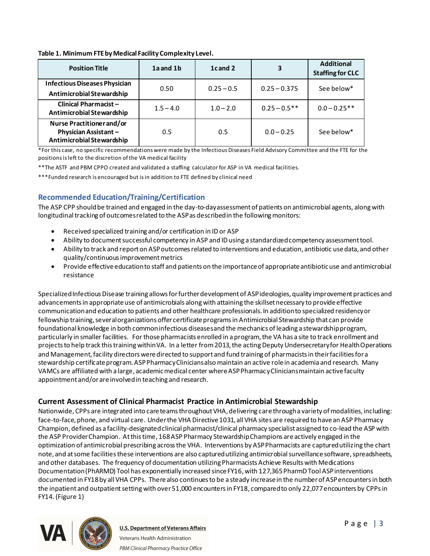#### **Table 1. Minimum FTE by Medical Facility Complexity Level.**

| <b>Position Title</b>                                                                 | 1a and 1b   | 1cand 2      | 3               | <b>Additional</b><br><b>Staffing for CLC</b> |
|---------------------------------------------------------------------------------------|-------------|--------------|-----------------|----------------------------------------------|
| <b>Infectious Diseases Physician</b><br>Antimicrobial Stewardship                     | 0.50        | $0.25 - 0.5$ | $0.25 - 0.375$  | See below*                                   |
| Clinical Pharmacist-<br>Antimicrobial Stewardship                                     | $1.5 - 4.0$ | $1.0 - 2.0$  | $0.25 - 0.5$ ** | $0.0 - 0.25**$                               |
| Nurse Practitioner and/or<br><b>Physician Assistant-</b><br>Antimicrobial Stewardship | 0.5         | 0.5          | $0.0 - 0.25$    | See below*                                   |

\*For this case, no specific recommendations were made by the Infectious Diseases Field Advisory Committee and the FTE for the positions is left to the discretion of the VA medical facility

\*\*The ASTF and PBM CPPO created and validated a staffing calculator for ASP in VA medical facilities.

\*\*\*Funded research is encouraged but is in addition to FTE defined by clinical need

## **Recommended Education/Training/Certification**

The ASP CPP should be trained and engaged in the day-to-day assessment of patients on antimicrobial agents, along with longitudinal tracking of outcomes related to the ASP as described in the following monitors:

- · Received specialized training and/or certification in ID or ASP
- · Ability to document successful competency in ASP and ID using a standardized competency assessment tool.
- · Ability to track and report on ASP outcomes related to interventions and education, antibiotic use data, and other quality/continuous improvement metrics
- · Provide effective education to staff and patients on the importance of appropriate antibiotic use and antimicrobial resistance

Specialized Infectious Disease training allows for further development of ASP ideologies, quality improvement practices and advancements in appropriate use of antimicrobials along with attaining the skillset necessary to provide effective communication and education to patients and other healthcare professionals. In addition to specialized residency or fellowship training, several organizations offer certificate programs in Antimicrobial Stewardship that can provide foundational knowledge in both common infectious diseases and the mechanics of leading a stewardship program, particularly in smaller facilities. For those pharmacists enrolled in a program, the VA has a site to track enrollment and projects to help track this training within VA. In a letter from 2013, the acting Deputy Undersecretary for Health Operations and Management, facility directors were directed to support and fund training of pharmacists in their facilities for a stewardship certificate program. ASP Pharmacy Clinicians also maintain an active role in academia and research. Many VAMCs are affiliated with a large, academic medical center where ASP Pharmacy Clinicians maintain active faculty appointment and/or are involved in teaching and research.

## **Current Assessment of Clinical Pharmacist Practice in Antimicrobial Stewardship**

Nationwide, CPPs are integrated into care teams throughout VHA, delivering care through a variety of modalities, including: face-to-face, phone, and virtual care. Under the VHA Directive 1031, all VHA sites are required to have an ASP Pharmacy Champion, defined as a facility-designated clinical pharmacist/clinical pharmacy specialist assigned to co-lead the ASP with the ASP Provider Champion. At this time, 168 ASP Pharmacy Stewardship Champions are actively engaged in the optimization of antimicrobial prescribing across the VHA. Interventions by ASP Pharmacists are captured utilizing the chart note, and at some facilities these interventions are also captured utilizing antimicrobial surveillance software, spreadsheets, and other databases. The frequency of documentation utilizing Pharmacists Achieve Results with Medications Documentation (PhARMD) Tool has exponentially increased since FY16, with 127,365 PharmD Tool ASP interventions documented in FY18 by all VHA CPPs. There also continues to be a steady increase in the number of ASP encounters in both the inpatient and outpatient setting with over 51,000 encounters in FY18, compared to only 22,077 encounters by CPPs in FY14. (Figure 1)

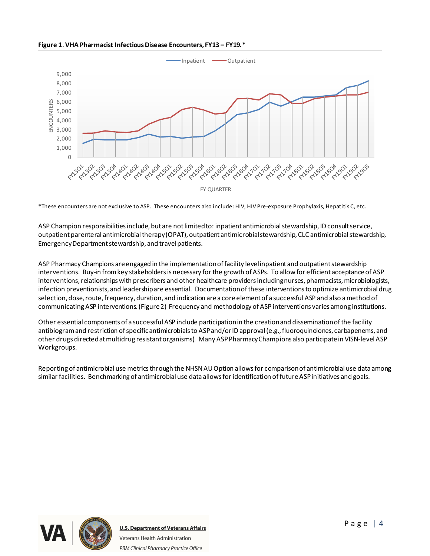**Figure 1**.**VHA Pharmacist Infectious Disease Encounters, FY13 – FY19.\***



\*These encounters are not exclusive to ASP. These encounters also include: HIV, HIV Pre-exposure Prophylaxis, Hepatitis C, etc.

ASP Champion responsibilities include, but are not limited to: inpatient antimicrobial stewardship, ID consult service, outpatient parenteral antimicrobial therapy (OPAT), outpatient antimicrobial stewardship, CLC antimicrobial stewardship, Emergency Department stewardship, and travel patients.

ASP Pharmacy Champions are engaged in the implementation of facility level inpatient and outpatient stewardship interventions. Buy-in from key stakeholders is necessary for the growth of ASPs. To allow for efficient acceptance of ASP interventions, relationships with prescribers and other healthcare providers including nurses, pharmacists, microbiologists, infection preventionists, and leadership are essential. Documentation of these interventions to optimize antimicrobial drug selection, dose, route, frequency, duration, and indication are a core element of a successful ASP and also a method of communicating ASP interventions. (Figure 2) Frequency and methodology of ASP interventions varies among institutions.

Other essential components of a successful ASP include participation in the creation and dissemination of the facility antibiogram and restriction of specific antimicrobials to ASP and/or ID approval (e.g., fluoroquinolones, carbapenems, and other drugs directed at multidrug resistant organisms). Many ASP Pharmacy Champions also participate in VISN-level ASP Workgroups.

Reporting of antimicrobial use metrics through the NHSN AU Option allows for comparison of antimicrobial use data among similar facilities. Benchmarking of antimicrobial use data allows for identification of future ASP initiatives and goals.

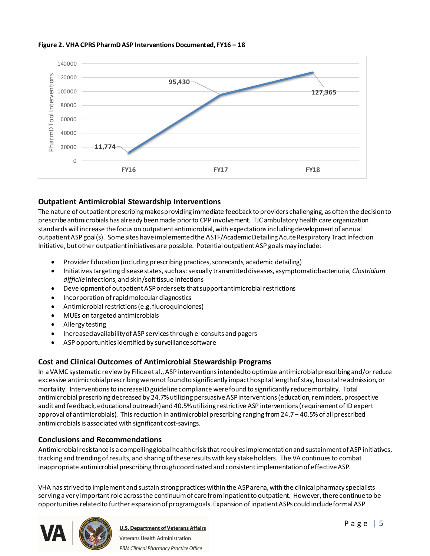

#### **Figure 2. VHA CPRS PharmD ASP Interventions Documented, FY16 – 18**

# **Outpatient Antimicrobial Stewardship Interventions**

The nature of outpatient prescribing makes providing immediate feedback to providers challenging, as often the decision to prescribe antimicrobials has already been made prior to CPP involvement. TJC ambulatory health care organization standards will increase the focus on outpatient antimicrobial, with expectations including development of annual outpatient ASP goal(s). Some sites have implemented the ASTF/Academic Detailing Acute Respiratory Tract Infection Initiative, but other outpatient initiatives are possible. Potential outpatient ASP goals may include:

- Provider Education (including prescribing practices, scorecards, academic detailing)
- · Initiatives targeting disease states, such as: sexually transmitted diseases, asymptomatic bacteriuria, *Clostridium difficile* infections, and skin/soft tissue infections
- · Development of outpatient ASP order sets that support antimicrobial restrictions
- · Incorporation of rapid molecular diagnostics
- · Antimicrobial restrictions (e.g. fluoroquinolones)
- · MUEs on targeted antimicrobials
- · Allergy testing
- · Increased availability of ASP services through e-consults and pagers
- · ASP opportunities identified by surveillance software

## **Cost and Clinical Outcomes of Antimicrobial Stewardship Programs**

In a VAMC systematic review by Filice et al., ASP interventions intended to optimize antimicrobial prescribing and/or reduce excessive antimicrobial prescribing were not found to significantly impact hospital length of stay, hospital readmission, or mortality. Interventions to increase ID guideline compliance were found to significantly reduce mortality. Total antimicrobial prescribing decreased by 24.7% utilizing persuasive ASP interventions (education, reminders, prospective audit and feedback, educational outreach) and 40.5% utilizing restrictive ASP interventions (requirement of ID expert approval of antimicrobials). This reduction in antimicrobial prescribing ranging from 24.7 – 40.5% of all prescribed antimicrobials is associated with significant cost-savings.

## **Conclusions and Recommendations**

Antimicrobial resistance is a compelling global health crisis that requires implementation and sustainment of ASP initiatives, tracking and trending of results, and sharing of these results with key stake holders. The VA continues to combat inappropriate antimicrobial prescribing through coordinated and consistent implementation of effective ASP.

VHA has strived to implement and sustain strong practices within the ASP arena, with the clinical pharmacy specialists serving a very important role across the continuum of care from inpatient to outpatient. However, there continue to be opportunities related to further expansion of program goals. Expansion of inpatient ASPs could include formal ASP